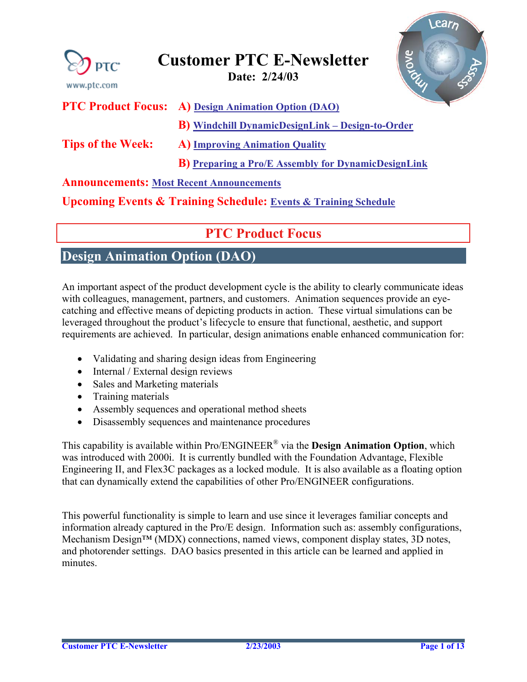<span id="page-0-0"></span>

| <b>PTC</b><br>www.ptc.com                       | Riove<br><b>Customer PTC E-Newsletter</b><br>Date: 2/24/03                     |
|-------------------------------------------------|--------------------------------------------------------------------------------|
| <b>PTC Product Focus:</b>                       | <b>A)</b> Design Animation Option (DAO)                                        |
|                                                 | <b>B</b> ) Windchill DynamicDesignLink – Design-to-Order                       |
| <b>Tips of the Week:</b>                        | <b>A) Improving Animation Quality</b>                                          |
|                                                 | <b>B</b> ) Preparing a Pro/E Assembly for DynamicDesignLink                    |
| <b>Announcements: Most Recent Announcements</b> |                                                                                |
|                                                 | <b>Upcoming Events &amp; Training Schedule: Events &amp; Training Schedule</b> |

## **PTC Product Focus**

### **Design Animation Option (DAO)**

An important aspect of the product development cycle is the ability to clearly communicate ideas with colleagues, management, partners, and customers. Animation sequences provide an eyecatching and effective means of depicting products in action. These virtual simulations can be leveraged throughout the product's lifecycle to ensure that functional, aesthetic, and support requirements are achieved. In particular, design animations enable enhanced communication for:

- Validating and sharing design ideas from Engineering
- Internal / External design reviews
- Sales and Marketing materials
- Training materials
- Assembly sequences and operational method sheets
- Disassembly sequences and maintenance procedures

This capability is available within Pro/ENGINEER® via the **Design Animation Option**, which was introduced with 2000i. It is currently bundled with the Foundation Advantage, Flexible Engineering II, and Flex3C packages as a locked module. It is also available as a floating option that can dynamically extend the capabilities of other Pro/ENGINEER configurations.

This powerful functionality is simple to learn and use since it leverages familiar concepts and information already captured in the Pro/E design. Information such as: assembly configurations, Mechanism Design™ (MDX) connections, named views, component display states, 3D notes, and photorender settings. DAO basics presented in this article can be learned and applied in minutes.

ear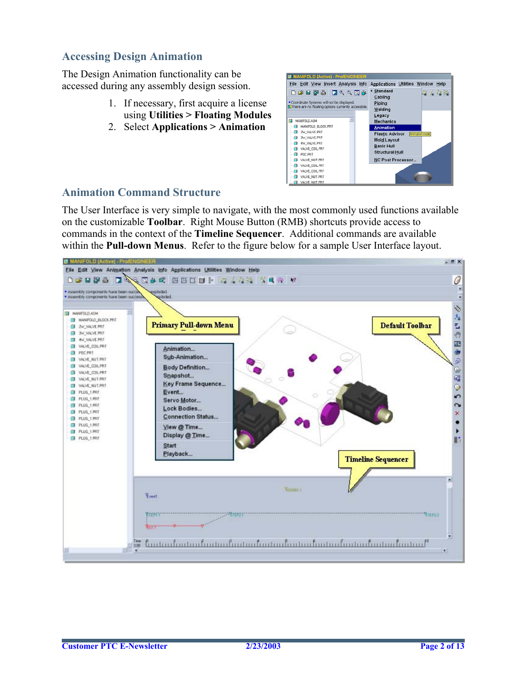### **Accessing Design Animation**

The Design Animation functionality can be accessed during any assembly design session.

- 1. If necessary, first acquire a license using **Utilities > Floating Modules**
- 2. Select **Applications > Animation**



#### **Animation Command Structure**

The User Interface is very simple to navigate, with the most commonly used functions available on the customizable **Toolbar**. Right Mouse Button (RMB) shortcuts provide access to commands in the context of the **Timeline Sequencer**. Additional commands are available within the **Pull-down Menus**. Refer to the figure below for a sample User Interface layout.

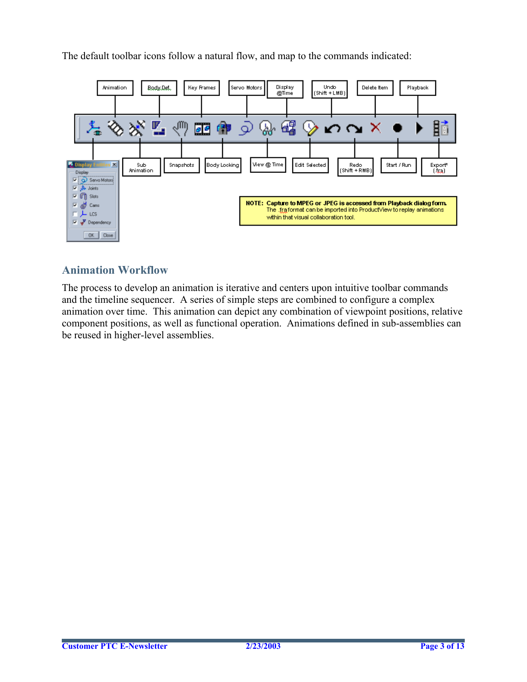The default toolbar icons follow a natural flow, and map to the commands indicated:



### **Animation Workflow**

The process to develop an animation is iterative and centers upon intuitive toolbar commands and the timeline sequencer. A series of simple steps are combined to configure a complex animation over time. This animation can depict any combination of viewpoint positions, relative component positions, as well as functional operation. Animations defined in sub-assemblies can be reused in higher-level assemblies.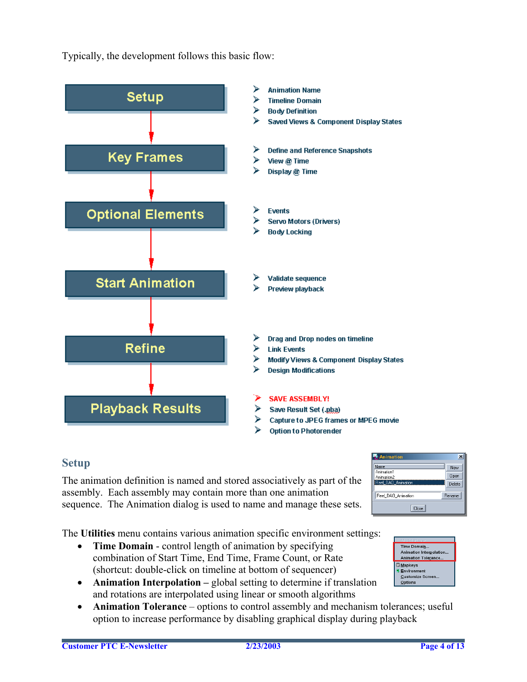

Typically, the development follows this basic flow:

#### **Setup**

The animation definition is named and stored associatively as part of the assembly. Each assembly may contain more than one animation sequence. The Animation dialog is used to name and manage these sets.

The **Utilities** menu contains various animation specific environment settings:

- **Time Domain** control length of animation by specifying combination of Start Time, End Time, Frame Count, or Rate (shortcut: double-click on timeline at bottom of sequencer)
- **Animation Interpolation** global setting to determine if translation and rotations are interpolated using linear or smooth algorithms
- **Animation Tolerance** options to control assembly and mechanism tolerances; useful option to increase performance by disabling graphical display during playback



Time Domain... Animation Interpolation.. **Animation Tolerance D** Mapkeys Environment Customize Screen. Options

 $\vert x \vert$ 

New |

 $Open$ 

**图·Animation** 

Name

Animation<sup>®</sup>

Animation2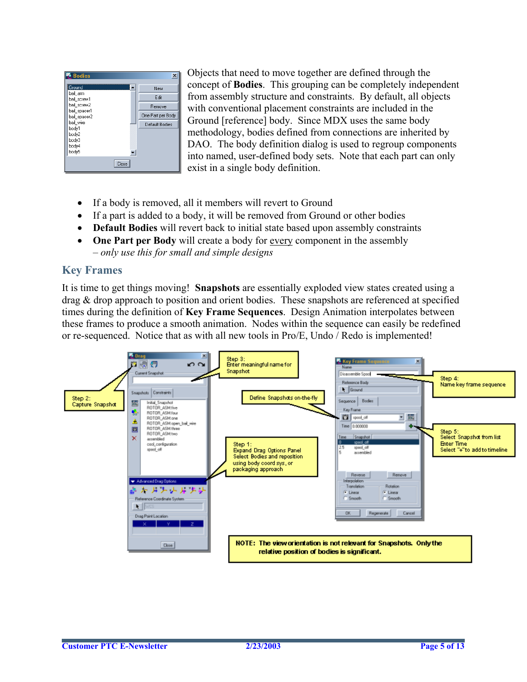

Objects that need to move together are defined through the concept of **Bodies**. This grouping can be completely independent from assembly structure and constraints. By default, all objects with conventional placement constraints are included in the Ground [reference] body. Since MDX uses the same body methodology, bodies defined from connections are inherited by DAO. The body definition dialog is used to regroup components into named, user-defined body sets. Note that each part can only exist in a single body definition.

- If a body is removed, all it members will revert to Ground
- If a part is added to a body, it will be removed from Ground or other bodies
- **Default Bodies** will revert back to initial state based upon assembly constraints
- **One Part per Body** will create a body for every component in the assembly – *only use this for small and simple designs*

#### **Key Frames**

It is time to get things moving! **Snapshots** are essentially exploded view states created using a drag & drop approach to position and orient bodies. These snapshots are referenced at specified times during the definition of **Key Frame Sequences**. Design Animation interpolates between these frames to produce a smooth animation. Nodes within the sequence can easily be redefined or re-sequenced. Notice that as with all new tools in Pro/E, Undo / Redo is implemented!

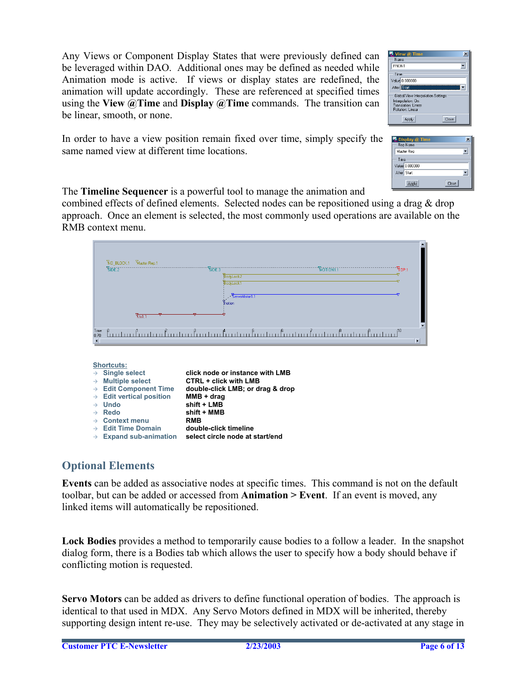Any Views or Component Display States that were previously defined can be leveraged within DAO. Additional ones may be defined as needed while Animation mode is active. If views or display states are redefined, the animation will update accordingly. These are referenced at specified times using the **View @Time** and **Display @Time** commands. The transition can be linear, smooth, or none.

| View @ Time                                                                                               |  |  |
|-----------------------------------------------------------------------------------------------------------|--|--|
| Name<br>FRONT                                                                                             |  |  |
| <b>Time</b>                                                                                               |  |  |
| Value 0.000000                                                                                            |  |  |
| After Start                                                                                               |  |  |
| Global View Interpolation Settings<br>Interpolation: On<br><b>Translation: Linear</b><br>Rotation: Linear |  |  |
| Close<br>Apply                                                                                            |  |  |

In order to have a view position remain fixed over time, simply specify the same named view at different time locations.

| <b>Display @ Time</b><br>Rep Name     |  |
|---------------------------------------|--|
| Master Rep                            |  |
| Time<br>Value 0.000000<br>After Start |  |
| <b>Anniu</b><br>Close                 |  |

The **Timeline Sequencer** is a powerful tool to manage the animation and

combined effects of defined elements. Selected nodes can be repositioned using a drag & drop approach. Once an element is selected, the most commonly used operations are available on the RMB context menu.

|                | VIO_BLOCK.1 Viaster Rep.1                                                           |                           |
|----------------|-------------------------------------------------------------------------------------|---------------------------|
|                | $\overline{\mathbb{S}}$ IDE.2<br>"STOE:3"<br>"Momon1.1<br>Yop.1<br><b>BodyLock2</b> |                           |
|                | <b>BodyLock1</b>                                                                    |                           |
|                | ServoMotor1.1<br><b>V</b> <sub>motion</sub>                                         |                           |
|                | $\sqrt{\frac{1}{1}}$                                                                | $\overline{\blacksquare}$ |
| Time<br>0.70   | $\int_{0}^{\beta}$<br>ß.<br>ß<br>β<br>đ                                             | $\overline{\phantom{0}}$  |
| $\overline{4}$ |                                                                                     |                           |

|               | <b>Shortcuts:</b>                    |                                  |
|---------------|--------------------------------------|----------------------------------|
| $\rightarrow$ | <b>Single select</b>                 | click node or instance with LMB  |
| $\rightarrow$ | <b>Multiple select</b>               | <b>CTRL + click with LMB</b>     |
|               | $\rightarrow$ Edit Component Time    | double-click LMB; or drag & drop |
|               | $\rightarrow$ Edit vertical position | $MMB + drag$                     |
|               | $\rightarrow$ Undo                   | shift + LMB                      |
|               | $\rightarrow$ Redo                   | shift + MMB                      |
|               | $\rightarrow$ Context menu           | <b>RMB</b>                       |
|               | $\rightarrow$ Edit Time Domain       | double-click timeline            |
| $\rightarrow$ | <b>Expand sub-animation</b>          | select circle node at start/end  |

### **Optional Elements**

**Events** can be added as associative nodes at specific times. This command is not on the default toolbar, but can be added or accessed from **Animation > Event**. If an event is moved, any linked items will automatically be repositioned.

**Lock Bodies** provides a method to temporarily cause bodies to a follow a leader. In the snapshot dialog form, there is a Bodies tab which allows the user to specify how a body should behave if conflicting motion is requested.

**Servo Motors** can be added as drivers to define functional operation of bodies. The approach is identical to that used in MDX. Any Servo Motors defined in MDX will be inherited, thereby supporting design intent re-use. They may be selectively activated or de-activated at any stage in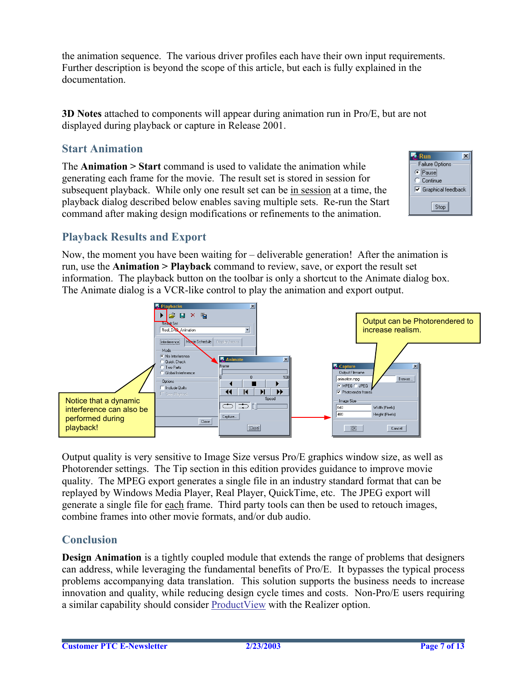the animation sequence. The various driver profiles each have their own input requirements. Further description is beyond the scope of this article, but each is fully explained in the documentation.

**3D Notes** attached to components will appear during animation run in Pro/E, but are not displayed during playback or capture in Release 2001.

### **Start Animation**

The **Animation > Start** command is used to validate the animation while generating each frame for the movie. The result set is stored in session for subsequent playback. While only one result set can be in session at a time, the playback dialog described below enables saving multiple sets. Re-run the Start command after making design modifications or refinements to the animation.



### **Playback Results and Export**

Now, the moment you have been waiting for – deliverable generation! After the animation is run, use the **Animation > Playback** command to review, save, or export the result set information. The playback button on the toolbar is only a shortcut to the Animate dialog box. The Animate dialog is a VCR-like control to play the animation and export output.



Output quality is very sensitive to Image Size versus Pro/E graphics window size, as well as Photorender settings. The Tip section in this edition provides guidance to improve movie quality. The MPEG export generates a single file in an industry standard format that can be replayed by Windows Media Player, Real Player, QuickTime, etc. The JPEG export will generate a single file for each frame. Third party tools can then be used to retouch images, combine frames into other movie formats, and/or dub audio.

### **Conclusion**

**Design Animation** is a tightly coupled module that extends the range of problems that designers can address, while leveraging the fundamental benefits of Pro/E. It bypasses the typical process problems accompanying data translation. This solution supports the business needs to increase innovation and quality, while reducing design cycle times and costs. Non-Pro/E users requiring a similar capability should consider [ProductView](http://www.ptc.com/appserver/it/icm/cda/icm01_list.jsp?group=201&num=1&show=y&keyword=364) with the Realizer option.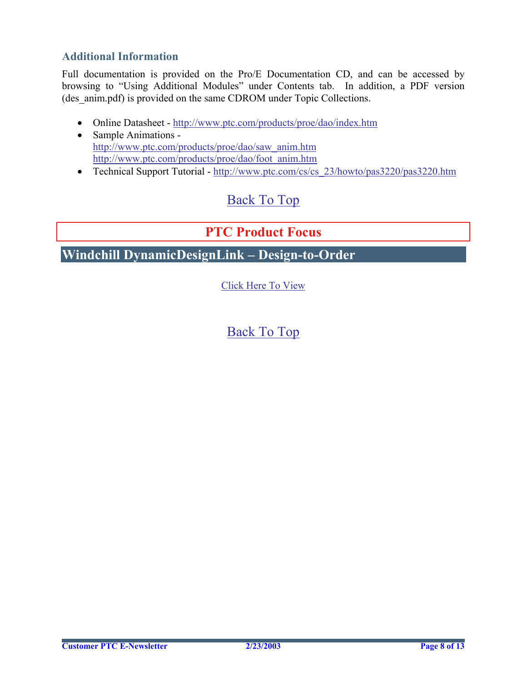### <span id="page-7-0"></span>**Additional Information**

Full documentation is provided on the Pro/E Documentation CD, and can be accessed by browsing to "Using Additional Modules" under Contents tab. In addition, a PDF version (des anim.pdf) is provided on the same CDROM under Topic Collections.

- Online Datasheet http://www.ptc.com/products/proe/dao/index.htm
- Sample Animations [http://www.ptc.com/products/proe/dao/saw\\_anim.htm](http://www.ptc.com/products/proe/dao/saw_anim.htm)  [http://www.ptc.com/products/proe/dao/foot\\_anim.htm](http://www.ptc.com/products/proe/dao/foot_anim.htm)
- Technical Support Tutorial - [http://www.ptc.com/cs/cs\\_23/howto/pas3220/pas3220.htm](http://www.ptc.com/cs/cs_23/howto/pas3220/pas3220.htm)

## [Back To Top](#page-0-0)

## **PTC Product Focus**

**Windchill DynamicDesignLink – Design-to-Order** 

[Click Here To View](http://www.ptc-mss.com/Tutorial/Tip_Tech/Customer PTC E-Newsletter 2-24-2003_B.pdf)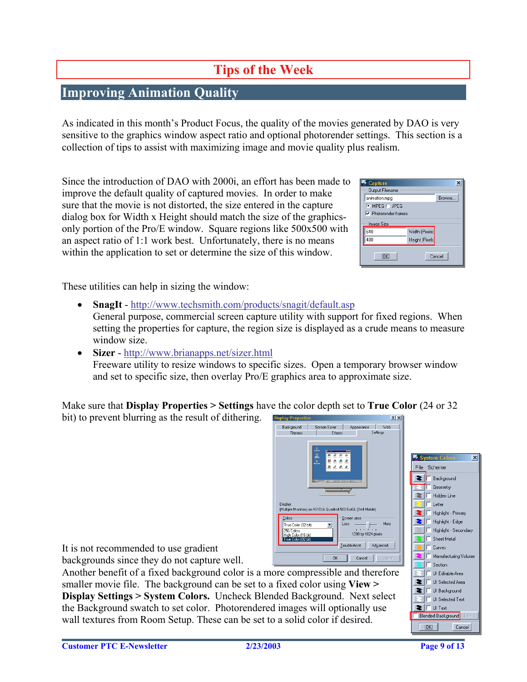# **Tips of the Week**

## <span id="page-8-0"></span>**Improving Animation Quality**

As indicated in this month's Product Focus, the quality of the movies generated by DAO is very sensitive to the graphics window aspect ratio and optional photorender settings. This section is a collection of tips to assist with maximizing image and movie quality plus realism.

Since the introduction of DAO with 2000i, an effort has been made to improve the default quality of captured movies. In order to make sure that the movie is not distorted, the size entered in the capture dialog box for Width x Height should match the size of the graphicsonly portion of the Pro/E window. Square regions like 500x500 with an aspect ratio of 1:1 work best. Unfortunately, there is no means within the application to set or determine the size of this window.

| <b>Capture</b>              |                 | ×       |
|-----------------------------|-----------------|---------|
| Output Filename             |                 |         |
| animation.mpg               |                 | Browse. |
| C MPEG C JPEG               |                 |         |
| $\nabla$ Photorender frames |                 |         |
| Image Size                  |                 |         |
| 640                         | Width (Pixels)  |         |
| 480                         | Height (Pixels) |         |
| ΰK.<br>Cancel               |                 |         |

These utilities can help in sizing the window:

- **SnagIt** -<http://www.techsmith.com/products/snagit/default.asp> General purpose, commercial screen capture utility with support for fixed regions. When setting the properties for capture, the region size is displayed as a crude means to measure window size.
- **Sizer** <http://www.brianapps.net/sizer.html> Freeware utility to resize windows to specific sizes. Open a temporary browser window and set to specific size, then overlay Pro/E graphics area to approximate size.

Make sure that **Display Properties > Settings** have the color depth set to **True Color** (24 or 32  $\frac{1}{2}$  to prevent blurring as the result of dithering.

| bu) to prevent blurring as the result of dithering.                              | <b>Display Properties</b><br><b>ETA</b>                           |                                            |
|----------------------------------------------------------------------------------|-------------------------------------------------------------------|--------------------------------------------|
|                                                                                  | Screen Saver<br>Web<br>Background<br>Appearance<br>Settings       |                                            |
|                                                                                  | Effects<br>Themes                                                 |                                            |
|                                                                                  |                                                                   |                                            |
|                                                                                  |                                                                   | $\vert x \vert$<br>System Colors           |
|                                                                                  |                                                                   | File Scheme                                |
|                                                                                  |                                                                   |                                            |
|                                                                                  |                                                                   | Background<br>Geometry                     |
|                                                                                  |                                                                   | Hidden Line                                |
|                                                                                  | Display:                                                          | Letter                                     |
|                                                                                  | (Multiple Monitors) on NVIDIA Quadro4 500 GoGL (Dell Mobile)      | Highlight - Primary                        |
|                                                                                  | Colors<br>Screen area<br>More<br>Less<br>True Color (32 bit)      | Highlight - Edge                           |
|                                                                                  | 1.1.1.1.1.1<br>256 Colors                                         | Highlight - Secondary                      |
|                                                                                  | 1280 by 1024 pixels<br>High Color (16 bit)<br>True Color (32 bit) | Sheet Metal                                |
| It is not recommended to use gradient                                            | Troubleshoot<br>Advanced                                          | Curves                                     |
| backgrounds since they do not capture well.                                      | <b>OK</b><br>Cancel<br>Apply                                      | Manufacturing Volume                       |
|                                                                                  |                                                                   | Section                                    |
| Another benefit of a fixed background color is a more compressible and therefore | UI Editable Area                                                  |                                            |
| smaller movie file. The background can be set to a fixed color using View >      |                                                                   | UI Selected Area                           |
| Display Settings > System Colors. Uncheck Blended Background. Next select        |                                                                   | UI Background                              |
|                                                                                  |                                                                   | UI Selected Text                           |
| the Background swatch to set color. Photorendered images will optionally use     |                                                                   | IT UI Text<br>E dit.<br>Blended Background |
| wall textures from Room Setup. These can be set to a solid color if desired.     |                                                                   |                                            |
|                                                                                  |                                                                   | <b>JOK!</b><br>Cancel                      |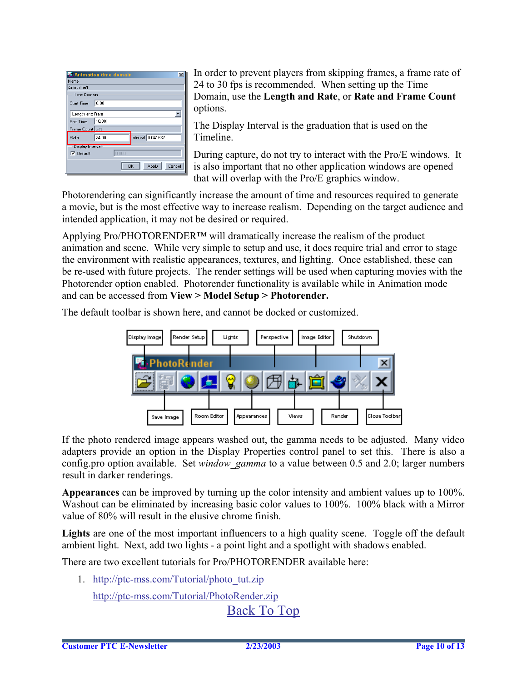|                         | Animation time domain<br>× |  |
|-------------------------|----------------------------|--|
| Name                    |                            |  |
| Animation1              |                            |  |
| Time Domain             |                            |  |
| <b>Start Time</b>       | 0.00                       |  |
| Length and Rate         |                            |  |
| End Time                | 10.00                      |  |
| Frame Count   241       |                            |  |
| Rate                    | Interval 0.041667<br>24.00 |  |
| <b>Display Interval</b> |                            |  |
| $\nabla$ Default        | 0.000                      |  |
|                         | Cancel<br>OK<br>Apply      |  |

In order to prevent players from skipping frames, a frame rate of 24 to 30 fps is recommended. When setting up the Time Domain, use the **Length and Rate**, or **Rate and Frame Count**  options.

The Display Interval is the graduation that is used on the Timeline.

During capture, do not try to interact with the Pro/E windows. It is also important that no other application windows are opened that will overlap with the Pro/E graphics window.

Photorendering can significantly increase the amount of time and resources required to generate a movie, but is the most effective way to increase realism. Depending on the target audience and intended application, it may not be desired or required.

animation and scene. While very simple to setup and use, it does require trial and error to stage the environment with realistic appearances, textures, and lighting. Once established, these can Applying Pro/PHOTORENDER™ will dramatically increase the realism of the product be re-used with future projects. The render settings will be used when capturing movies with the Photorender option enabled. Photorender functionality is available while in Animation mode and can be accessed from **View > Model Setup > Photorender.** 

The default toolbar is shown here, and cannot be docked or customized.



If the photo rendered image appears washed out, the gamma needs to be adjusted. Many video adapters provide an option in the Display Properties control panel to set this. There is also a config.pro option available. Set *window\_gamma* to a value between 0.5 and 2.0; larger numbers result in darker renderings.

Washout can be eliminated by increasing basic color values to 100%. 100% black with a Mirror **Appearances** can be improved by turning up the color intensity and ambient values up to 100%. value of 80% will result in the elusive chrome finish.

ambient light. Next, add two lights - a point light and a spotlight with shadows enabled. Lights are one of the most important influencers to a high quality scene. Toggle off the default

There are two excellent tutorials for Pro/PHOTORENDER available here:

1. http://ptc-mss.com/Tutorial/photo\_tut.zip http://ptc-mss.com/Tutorial/PhotoRender.zip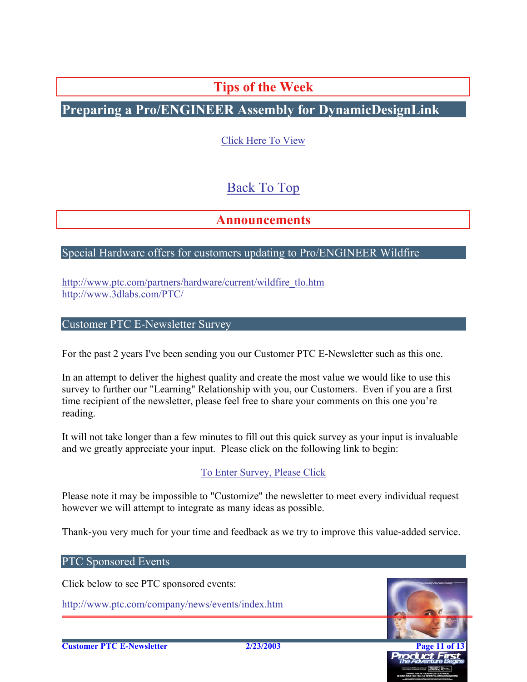**Tips of the Week**

<span id="page-10-0"></span>**Preparing a Pro/ENGINEER Assembly for DynamicDesignLink** 

Click Here To View

# Back To Top

## **Announcements**

### Special Hardware offers for customers updating to Pro/ENGINEER Wildfire

http://www.ptc.com/partners/hardware/current/wildfire\_tlo.htm http://www.3dlabs.com/PTC/

Customer PTC E-Newsletter Survey

For the past 2 years I've been sending you our Customer PTC E-Newsletter such as this one.

survey to further our "Learning" Relationship with you, our Customers. Even if you are a first In an attempt to deliver the highest quality and create the most value we would like to use this time recipient of the newsletter, please feel free to share your comments on this one you're reading.

It will not take longer than a few minutes to fill out this quick survey as your input is invaluable and we greatly appreciate your input. Please click on the following link to begin:

To Enter Survey, Please Click

Please note it may be impossible to ["Customize" the](http://www.zoomerang.com/survey.zgi?54VBJVHDAQYET9LJJT1DWKC4) newsletter to meet every individual request however we will attempt to integrate as many ideas as possible.

Thank-you very much for your time and feedback as we try to improve this value-added service.

#### PTC Sponsored Events

Click below to see PTC sponsored events:

http://www.ptc.com/company/news/events/index.htm

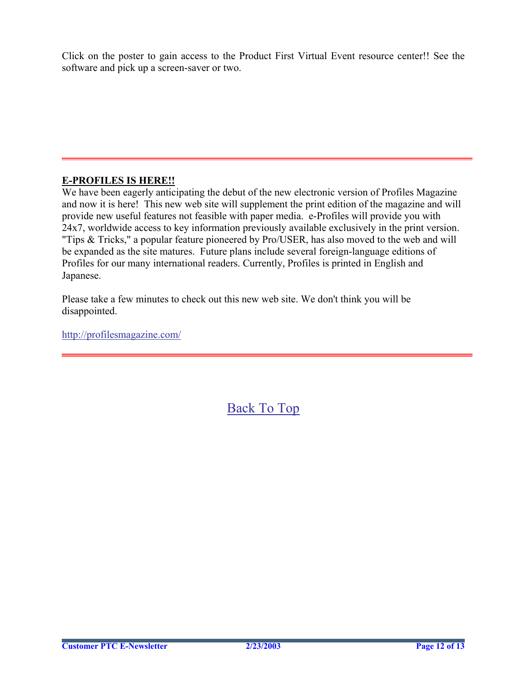Click on the poster to gain access to the Product First Virtual Event resource center!! See the software and pick up a screen-saver or two.

#### **-PROFILES IS HERE!! E**

We have been eagerly anticipating the debut of the new electronic version of Profiles Magazine and now it is here! This new web site will supplement the print edition of the magazine and will provide new useful features not feasible with paper media. e-Profiles will provide you with 24x7, worldwide access to key information previously available exclusively in the print version. "Tips & Tricks," a popular feature pioneered by Pro/USER, has also moved to the web and will be expanded as the site matures. Future plans include several foreign-language editions of Profiles for our many international readers. Currently, Profiles is printed in English and Japanese.

Please take a few minutes to check out this new web site. We don't think you will be disappointed.

http://profilesmagazine.com/